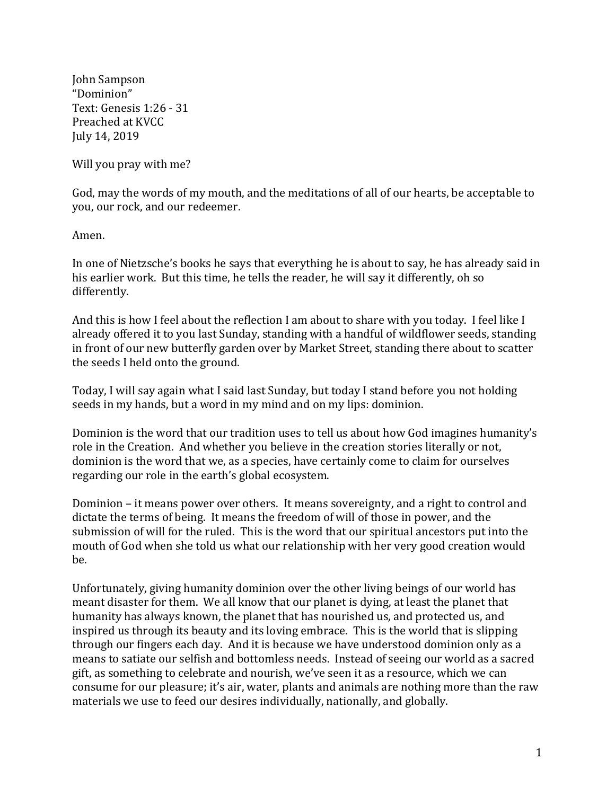John Sampson "Dominion" Text: Genesis 1:26 - 31 Preached at KVCC July 14, 2019

Will you pray with me?

God, may the words of my mouth, and the meditations of all of our hearts, be acceptable to you, our rock, and our redeemer.

Amen.

In one of Nietzsche's books he says that everything he is about to say, he has already said in his earlier work. But this time, he tells the reader, he will say it differently, oh so differently.

And this is how I feel about the reflection I am about to share with you today. I feel like I already offered it to you last Sunday, standing with a handful of wildflower seeds, standing in front of our new butterfly garden over by Market Street, standing there about to scatter the seeds I held onto the ground.

Today, I will say again what I said last Sunday, but today I stand before you not holding seeds in my hands, but a word in my mind and on my lips: dominion.

Dominion is the word that our tradition uses to tell us about how God imagines humanity's role in the Creation. And whether you believe in the creation stories literally or not, dominion is the word that we, as a species, have certainly come to claim for ourselves regarding our role in the earth's global ecosystem.

Dominion – it means power over others. It means sovereignty, and a right to control and dictate the terms of being. It means the freedom of will of those in power, and the submission of will for the ruled. This is the word that our spiritual ancestors put into the mouth of God when she told us what our relationship with her very good creation would be.

Unfortunately, giving humanity dominion over the other living beings of our world has meant disaster for them. We all know that our planet is dying, at least the planet that humanity has always known, the planet that has nourished us, and protected us, and inspired us through its beauty and its loving embrace. This is the world that is slipping through our fingers each day. And it is because we have understood dominion only as a means to satiate our selfish and bottomless needs. Instead of seeing our world as a sacred gift, as something to celebrate and nourish, we've seen it as a resource, which we can consume for our pleasure; it's air, water, plants and animals are nothing more than the raw materials we use to feed our desires individually, nationally, and globally.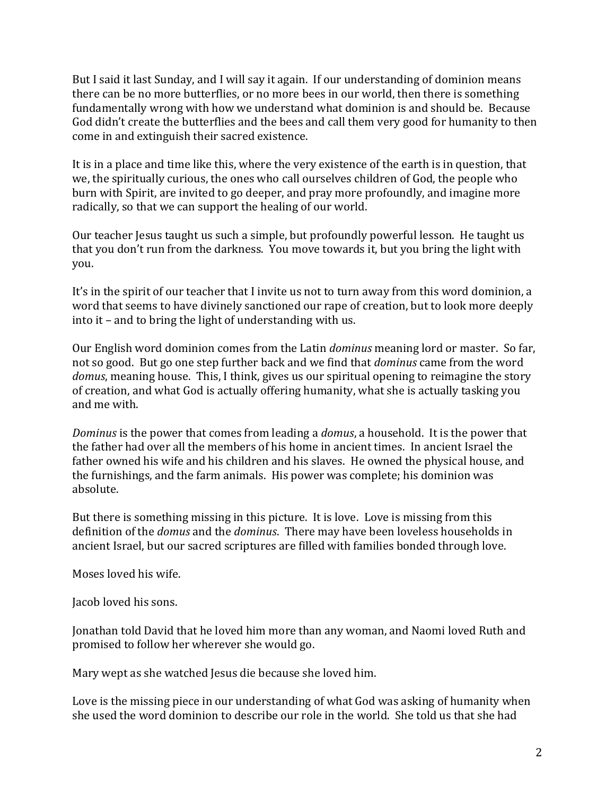But I said it last Sunday, and I will say it again. If our understanding of dominion means there can be no more butterflies, or no more bees in our world, then there is something fundamentally wrong with how we understand what dominion is and should be. Because God didn't create the butterflies and the bees and call them very good for humanity to then come in and extinguish their sacred existence.

It is in a place and time like this, where the very existence of the earth is in question, that we, the spiritually curious, the ones who call ourselves children of God, the people who burn with Spirit, are invited to go deeper, and pray more profoundly, and imagine more radically, so that we can support the healing of our world.

Our teacher Jesus taught us such a simple, but profoundly powerful lesson. He taught us that you don't run from the darkness. You move towards it, but you bring the light with you.

It's in the spirit of our teacher that I invite us not to turn away from this word dominion, a word that seems to have divinely sanctioned our rape of creation, but to look more deeply into it – and to bring the light of understanding with us.

Our English word dominion comes from the Latin *dominus* meaning lord or master. So far, not so good. But go one step further back and we find that *dominus* came from the word *domus*, meaning house. This, I think, gives us our spiritual opening to reimagine the story of creation, and what God is actually offering humanity, what she is actually tasking you and me with.

*Dominus* is the power that comes from leading a *domus*, a household. It is the power that the father had over all the members of his home in ancient times. In ancient Israel the father owned his wife and his children and his slaves. He owned the physical house, and the furnishings, and the farm animals. His power was complete; his dominion was absolute.

But there is something missing in this picture. It is love. Love is missing from this definition of the *domus* and the *dominus*. There may have been loveless households in ancient Israel, but our sacred scriptures are filled with families bonded through love.

Moses loved his wife.

Jacob loved his sons.

Jonathan told David that he loved him more than any woman, and Naomi loved Ruth and promised to follow her wherever she would go.

Mary wept as she watched Jesus die because she loved him.

Love is the missing piece in our understanding of what God was asking of humanity when she used the word dominion to describe our role in the world. She told us that she had